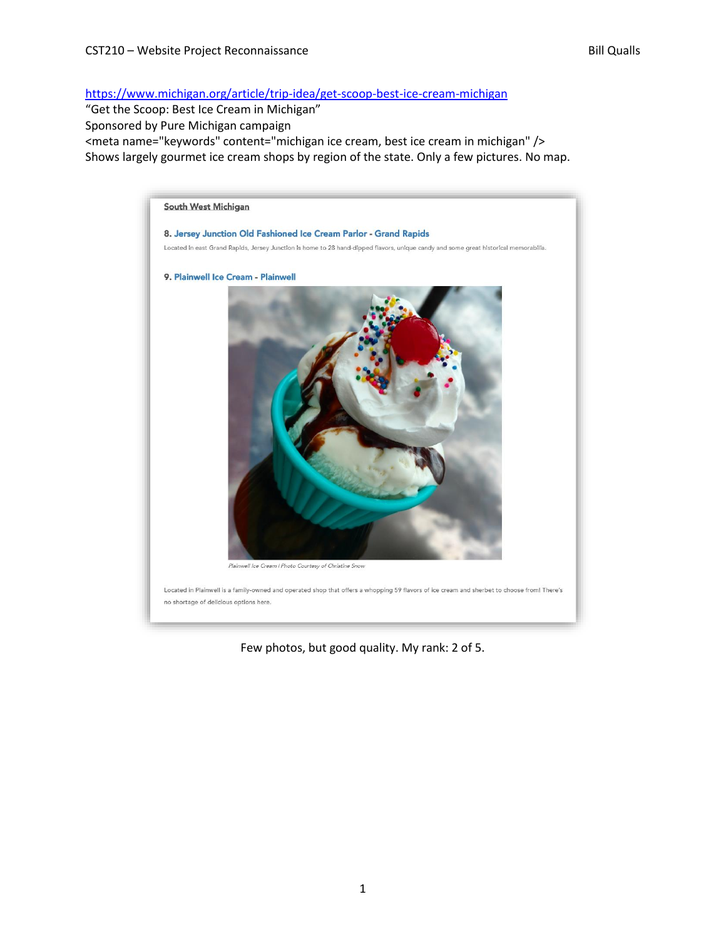<https://www.michigan.org/article/trip-idea/get-scoop-best-ice-cream-michigan>

"Get the Scoop: Best Ice Cream in Michigan" Sponsored by Pure Michigan campaign <meta name="keywords" content="michigan ice cream, best ice cream in michigan" /> Shows largely gourmet ice cream shops by region of the state. Only a few pictures. No map.



Few photos, but good quality. My rank: 2 of 5.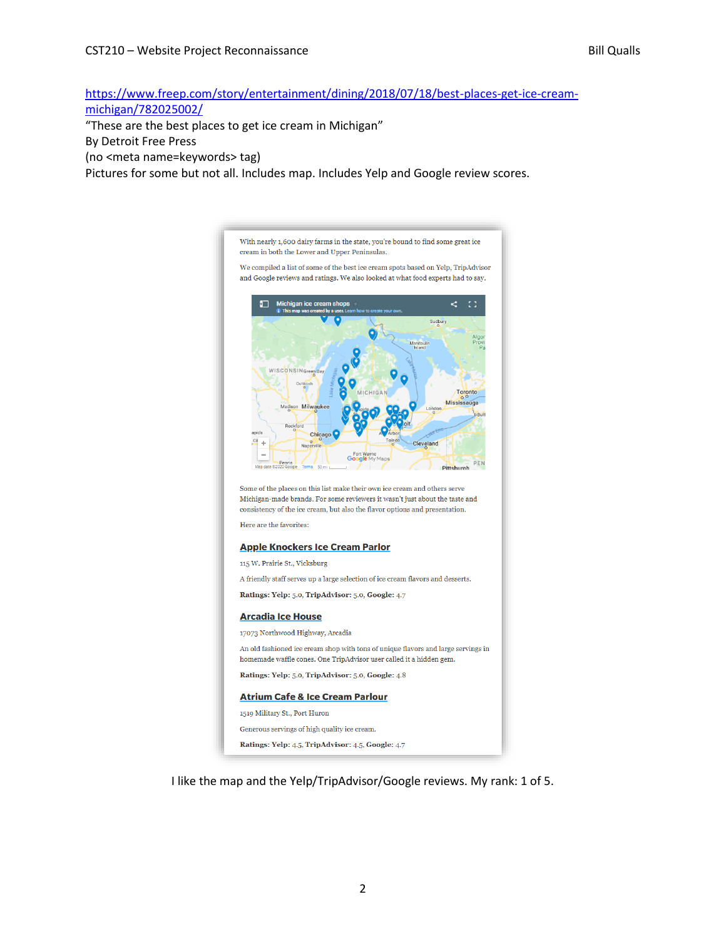[https://www.freep.com/story/entertainment/dining/2018/07/18/best-places-get-ice-cream](https://www.freep.com/story/entertainment/dining/2018/07/18/best-places-get-ice-cream-michigan/782025002/)[michigan/782025002/](https://www.freep.com/story/entertainment/dining/2018/07/18/best-places-get-ice-cream-michigan/782025002/)

"These are the best places to get ice cream in Michigan"

## By Detroit Free Press

(no <meta name=keywords> tag)

Pictures for some but not all. Includes map. Includes Yelp and Google review scores.



I like the map and the Yelp/TripAdvisor/Google reviews. My rank: 1 of 5.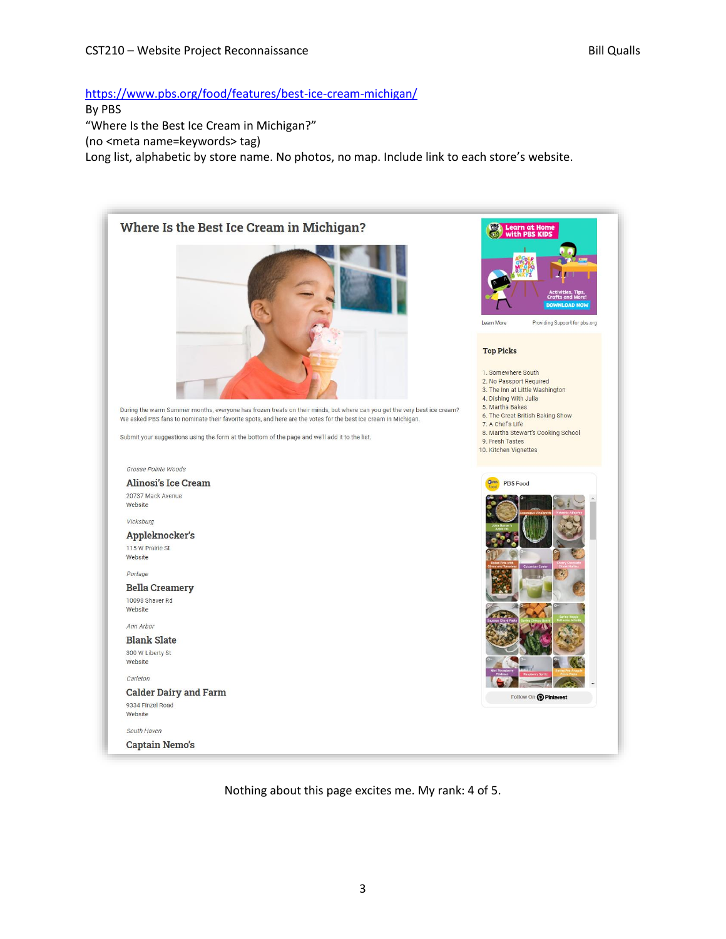## <https://www.pbs.org/food/features/best-ice-cream-michigan/>

By PBS

"Where Is the Best Ice Cream in Michigan?"

(no <meta name=keywords> tag)

Long list, alphabetic by store name. No photos, no map. Include link to each store's website.



Nothing about this page excites me. My rank: 4 of 5.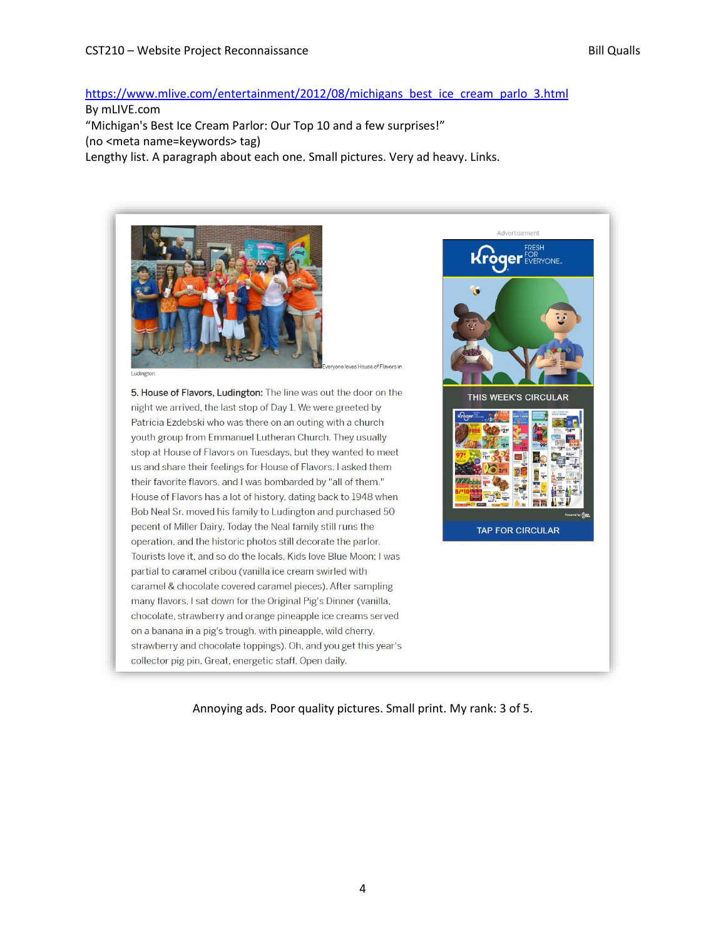## [https://www.mlive.com/entertainment/2012/08/michigans\\_best\\_ice\\_cream\\_parlo\\_3.html](https://www.mlive.com/entertainment/2012/08/michigans_best_ice_cream_parlo_3.html)

By mLIVE.com

"Michigan's Best Ice Cream Parlor: Our Top 10 and a few surprises!" (no <meta name=keywords> tag)

Lengthy list. A paragraph about each one. Small pictures. Very ad heavy. Links.



5. House of Flavors, Ludington: The line was out the door on the night we arrived, the last stop of Day 1. We were greeted by Patricia Ezdebski who was there on an outing with a church youth group from Emmanuel Lutheran Church. They usually stop at House of Flavors on Tuesdays, but they wanted to meet us and share their feelings for House of Flavors. I asked them their favorite flavors, and I was bombarded by "all of them." House of Flavors has a lot of history, dating back to 1948 when Bob Neal Sr. moved his family to Ludington and purchased 50 pecent of Miller Dairy. Today the Neal family still runs the operation, and the historic photos still decorate the parlor. Tourists love it, and so do the locals. Kids love Blue Moon; I was partial to caramel cribou (vanilla ice cream swirled with caramel & chocolate covered caramel pieces). After sampling many flavors, I sat down for the Original Pig's Dinner (vanilla, chocolate, strawberry and orange pineapple ice creams served on a banana in a pig's trough, with pineapple, wild cherry, strawberry and chocolate toppings). Oh, and you get this year's collector pig pin. Great, energetic staff. Open daily.



Annoying ads. Poor quality pictures. Small print. My rank: 3 of 5.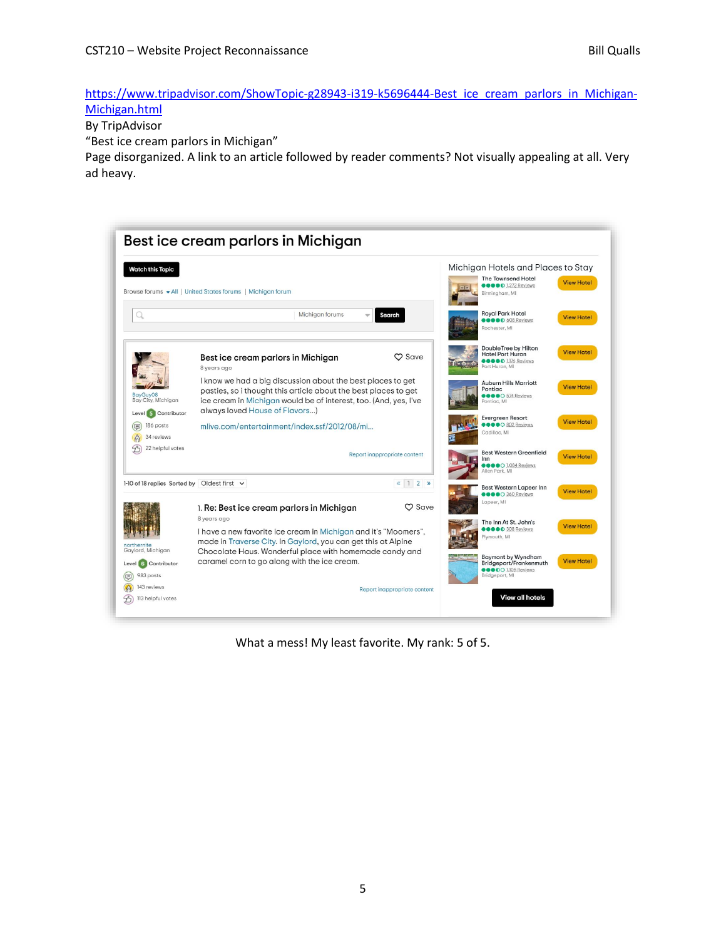[https://www.tripadvisor.com/ShowTopic-g28943-i319-k5696444-Best\\_ice\\_cream\\_parlors\\_in\\_Michigan-](https://www.tripadvisor.com/ShowTopic-g28943-i319-k5696444-Best_ice_cream_parlors_in_Michigan-Michigan.html)[Michigan.html](https://www.tripadvisor.com/ShowTopic-g28943-i319-k5696444-Best_ice_cream_parlors_in_Michigan-Michigan.html)

By TripAdvisor

"Best ice cream parlors in Michigan"

Page disorganized. A link to an article followed by reader comments? Not visually appealing at all. Very ad heavy.



What a mess! My least favorite. My rank: 5 of 5.